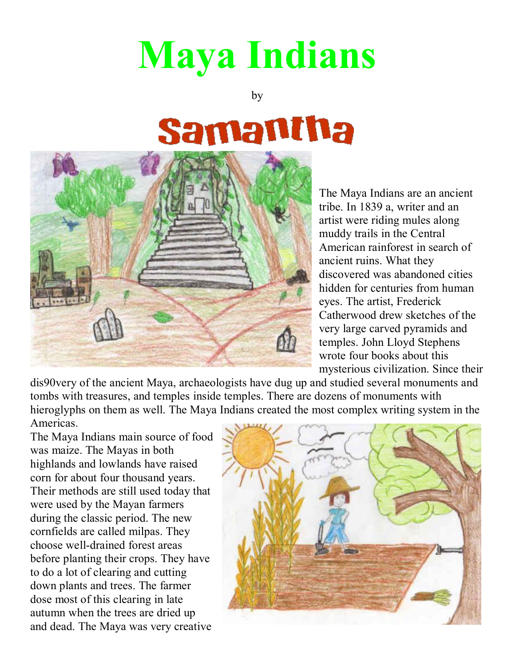## **Maya Indians**

by

## Samantha



The Maya Indians are an ancient tribe. In 1839 a, writer and an artist were riding mules along muddy trails in the Central American rainforest in search of ancient ruins. What they discovered was abandoned cities hidden for centuries from human eyes. The artist, Frederick Catherwood drew sketches of the very large carved pyramids and temples. John Lloyd Stephens wrote four books about this mysterious civilization. Since their

dis90very of the ancient Maya, archaeologists have dug up and studied several monuments and tombs with treasures, and temples inside temples. There are dozens of monuments with hieroglyphs on them as well. The Maya Indians created the most complex writing system in the Americas.

The Maya Indians main source of food was maize. The Mayas in both highlands and lowlands have raised corn for about four thousand years. Their methods are still used today that were used by the Mayan farmers during the classic period. The new cornfields are called milpas. They choose well-drained forest areas before planting their crops. They have to do a lot of clearing and cutting down plants and trees. The farmer dose most of this clearing in late autumn when the trees are dried up and dead. The Maya was very creative